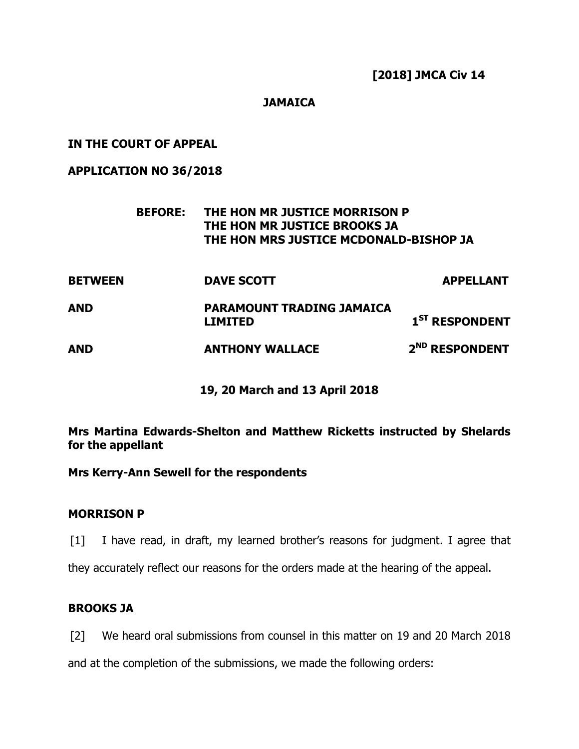**[2018] JMCA Civ 14**

## **JAMAICA**

## **IN THE COURT OF APPEAL**

#### **APPLICATION NO 36/2018**

|                | <b>BEFORE:</b> | THE HON MR JUSTICE MORRISON P<br>THE HON MR JUSTICE BROOKS JA<br>THE HON MRS JUSTICE MCDONALD-BISHOP JA |                            |
|----------------|----------------|---------------------------------------------------------------------------------------------------------|----------------------------|
| <b>BETWEEN</b> |                | <b>DAVE SCOTT</b>                                                                                       | <b>APPELLANT</b>           |
| AND            |                | PARAMOUNT TRADING JAMAICA<br><b>LIMITED</b>                                                             | 1 <sup>ST</sup> RESPONDENT |
| AND            |                | <b>ANTHONY WALLACE</b>                                                                                  | 2 <sup>ND</sup> RESPONDENT |
|                |                |                                                                                                         |                            |

## **19, 20 March and 13 April 2018**

**Mrs Martina Edwards-Shelton and Matthew Ricketts instructed by Shelards for the appellant**

**Mrs Kerry-Ann Sewell for the respondents** 

#### **MORRISON P**

[1] I have read, in draft, my learned brother's reasons for judgment. I agree that

they accurately reflect our reasons for the orders made at the hearing of the appeal.

## **BROOKS JA**

[2] We heard oral submissions from counsel in this matter on 19 and 20 March 2018

and at the completion of the submissions, we made the following orders: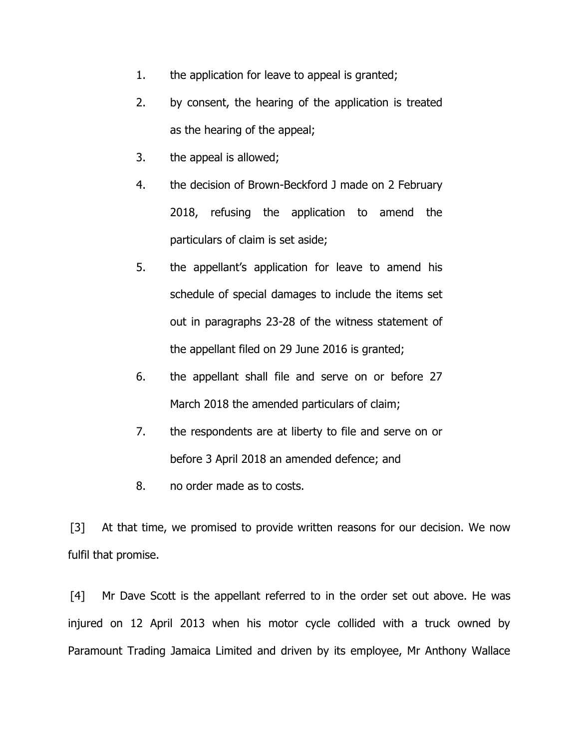- 1. the application for leave to appeal is granted;
- 2. by consent, the hearing of the application is treated as the hearing of the appeal;
- 3. the appeal is allowed;
- 4. the decision of Brown-Beckford J made on 2 February 2018, refusing the application to amend the particulars of claim is set aside;
- 5. the appellant's application for leave to amend his schedule of special damages to include the items set out in paragraphs 23-28 of the witness statement of the appellant filed on 29 June 2016 is granted;
- 6. the appellant shall file and serve on or before 27 March 2018 the amended particulars of claim;
- 7. the respondents are at liberty to file and serve on or before 3 April 2018 an amended defence; and
- 8. no order made as to costs.

[3] At that time, we promised to provide written reasons for our decision. We now fulfil that promise.

[4] Mr Dave Scott is the appellant referred to in the order set out above. He was injured on 12 April 2013 when his motor cycle collided with a truck owned by Paramount Trading Jamaica Limited and driven by its employee, Mr Anthony Wallace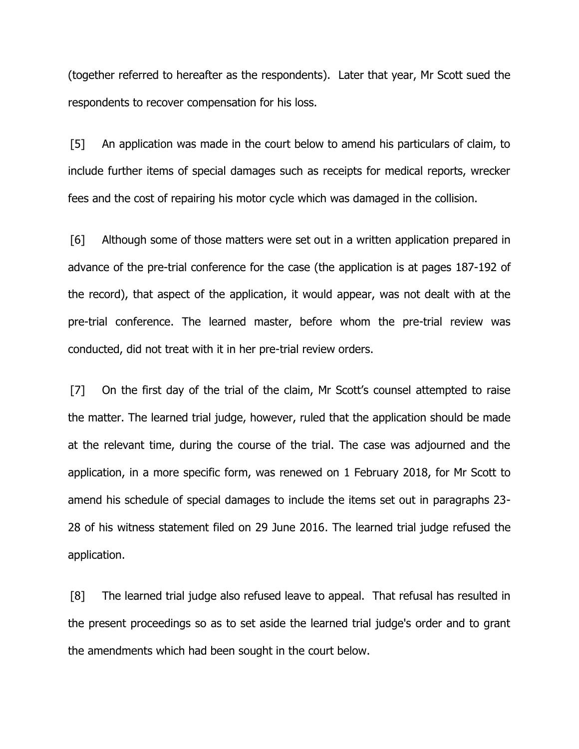(together referred to hereafter as the respondents). Later that year, Mr Scott sued the respondents to recover compensation for his loss.

[5] An application was made in the court below to amend his particulars of claim, to include further items of special damages such as receipts for medical reports, wrecker fees and the cost of repairing his motor cycle which was damaged in the collision.

[6] Although some of those matters were set out in a written application prepared in advance of the pre-trial conference for the case (the application is at pages 187-192 of the record), that aspect of the application, it would appear, was not dealt with at the pre-trial conference. The learned master, before whom the pre-trial review was conducted, did not treat with it in her pre-trial review orders.

[7] On the first day of the trial of the claim, Mr Scott's counsel attempted to raise the matter. The learned trial judge, however, ruled that the application should be made at the relevant time, during the course of the trial. The case was adjourned and the application, in a more specific form, was renewed on 1 February 2018, for Mr Scott to amend his schedule of special damages to include the items set out in paragraphs 23- 28 of his witness statement filed on 29 June 2016. The learned trial judge refused the application.

[8] The learned trial judge also refused leave to appeal. That refusal has resulted in the present proceedings so as to set aside the learned trial judge's order and to grant the amendments which had been sought in the court below.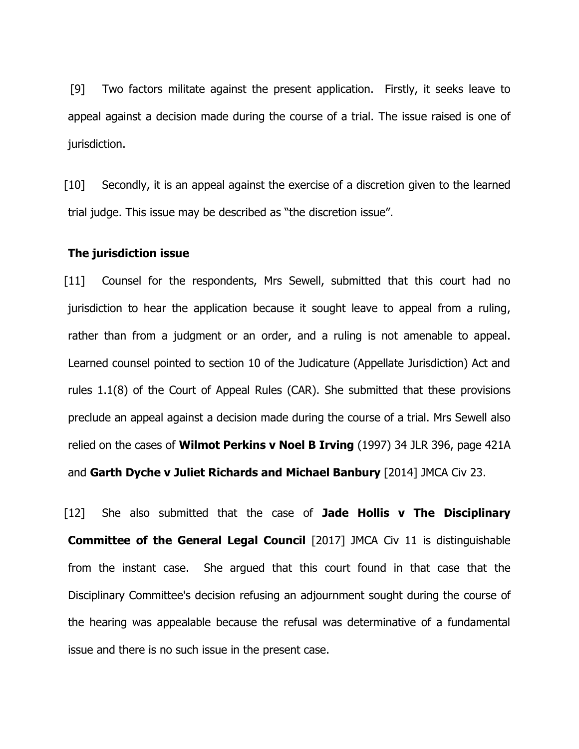[9] Two factors militate against the present application. Firstly, it seeks leave to appeal against a decision made during the course of a trial. The issue raised is one of jurisdiction.

[10] Secondly, it is an appeal against the exercise of a discretion given to the learned trial judge. This issue may be described as "the discretion issue".

#### **The jurisdiction issue**

[11] Counsel for the respondents, Mrs Sewell, submitted that this court had no jurisdiction to hear the application because it sought leave to appeal from a ruling, rather than from a judgment or an order, and a ruling is not amenable to appeal. Learned counsel pointed to section 10 of the Judicature (Appellate Jurisdiction) Act and rules 1.1(8) of the Court of Appeal Rules (CAR). She submitted that these provisions preclude an appeal against a decision made during the course of a trial. Mrs Sewell also relied on the cases of **Wilmot Perkins v Noel B Irving** (1997) 34 JLR 396, page 421A and **Garth Dyche v Juliet Richards and Michael Banbury** [2014] JMCA Civ 23.

[12] She also submitted that the case of **Jade Hollis v The Disciplinary Committee of the General Legal Council** [2017] JMCA Civ 11 is distinguishable from the instant case. She argued that this court found in that case that the Disciplinary Committee's decision refusing an adjournment sought during the course of the hearing was appealable because the refusal was determinative of a fundamental issue and there is no such issue in the present case.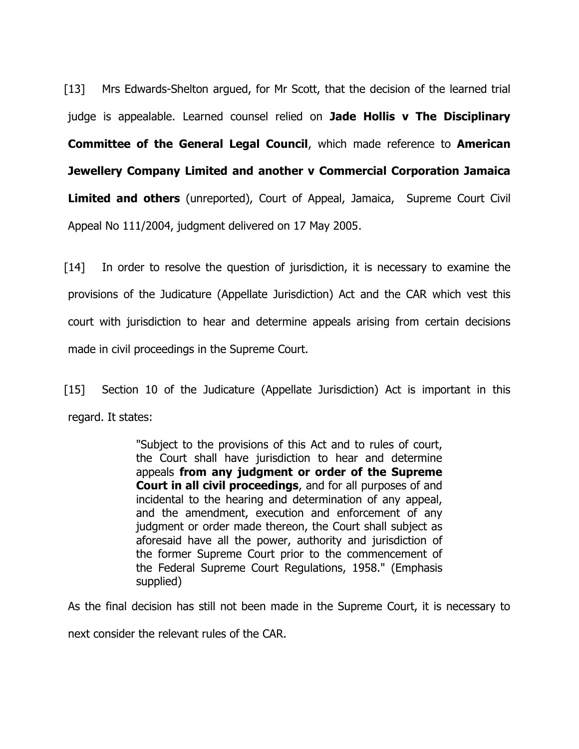[13] Mrs Edwards-Shelton argued, for Mr Scott, that the decision of the learned trial judge is appealable. Learned counsel relied on **Jade Hollis v The Disciplinary Committee of the General Legal Council**, which made reference to **American Jewellery Company Limited and another v Commercial Corporation Jamaica Limited and others** (unreported), Court of Appeal, Jamaica, Supreme Court Civil Appeal No 111/2004, judgment delivered on 17 May 2005.

[14] In order to resolve the question of jurisdiction, it is necessary to examine the provisions of the Judicature (Appellate Jurisdiction) Act and the CAR which vest this court with jurisdiction to hear and determine appeals arising from certain decisions made in civil proceedings in the Supreme Court.

[15] Section 10 of the Judicature (Appellate Jurisdiction) Act is important in this regard. It states:

> "Subject to the provisions of this Act and to rules of court, the Court shall have jurisdiction to hear and determine appeals **from any judgment or order of the Supreme Court in all civil proceedings**, and for all purposes of and incidental to the hearing and determination of any appeal, and the amendment, execution and enforcement of any judgment or order made thereon, the Court shall subject as aforesaid have all the power, authority and jurisdiction of the former Supreme Court prior to the commencement of the Federal Supreme Court Regulations, 1958." (Emphasis supplied)

As the final decision has still not been made in the Supreme Court, it is necessary to next consider the relevant rules of the CAR.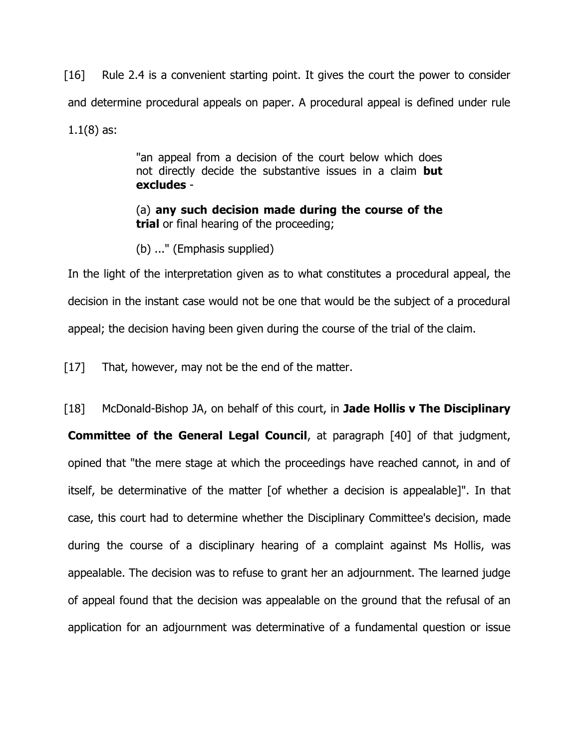[16] Rule 2.4 is a convenient starting point. It gives the court the power to consider and determine procedural appeals on paper. A procedural appeal is defined under rule  $1.1(8)$  as:

> "an appeal from a decision of the court below which does not directly decide the substantive issues in a claim **but excludes** -

> (a) **any such decision made during the course of the trial** or final hearing of the proceeding;

(b) ..." (Emphasis supplied)

In the light of the interpretation given as to what constitutes a procedural appeal, the decision in the instant case would not be one that would be the subject of a procedural appeal; the decision having been given during the course of the trial of the claim.

[17] That, however, may not be the end of the matter.

[18] McDonald-Bishop JA, on behalf of this court, in **Jade Hollis v The Disciplinary Committee of the General Legal Council**, at paragraph [40] of that judgment, opined that "the mere stage at which the proceedings have reached cannot, in and of itself, be determinative of the matter [of whether a decision is appealable]". In that case, this court had to determine whether the Disciplinary Committee's decision, made during the course of a disciplinary hearing of a complaint against Ms Hollis, was appealable. The decision was to refuse to grant her an adjournment. The learned judge of appeal found that the decision was appealable on the ground that the refusal of an application for an adjournment was determinative of a fundamental question or issue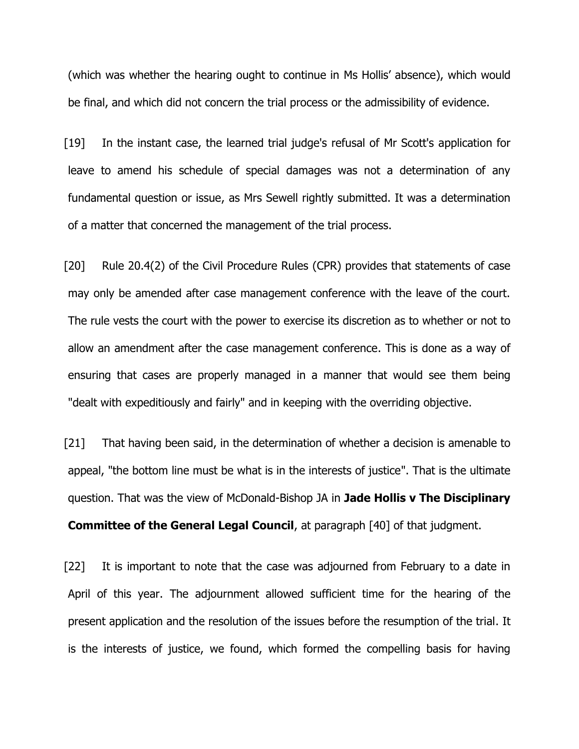(which was whether the hearing ought to continue in Ms Hollis' absence), which would be final, and which did not concern the trial process or the admissibility of evidence.

[19] In the instant case, the learned trial judge's refusal of Mr Scott's application for leave to amend his schedule of special damages was not a determination of any fundamental question or issue, as Mrs Sewell rightly submitted. It was a determination of a matter that concerned the management of the trial process.

[20] Rule 20.4(2) of the Civil Procedure Rules (CPR) provides that statements of case may only be amended after case management conference with the leave of the court. The rule vests the court with the power to exercise its discretion as to whether or not to allow an amendment after the case management conference. This is done as a way of ensuring that cases are properly managed in a manner that would see them being "dealt with expeditiously and fairly" and in keeping with the overriding objective.

[21] That having been said, in the determination of whether a decision is amenable to appeal, "the bottom line must be what is in the interests of justice". That is the ultimate question. That was the view of McDonald-Bishop JA in **Jade Hollis v The Disciplinary** 

**Committee of the General Legal Council**, at paragraph [40] of that judgment.

[22] It is important to note that the case was adjourned from February to a date in April of this year. The adjournment allowed sufficient time for the hearing of the present application and the resolution of the issues before the resumption of the trial. It is the interests of justice, we found, which formed the compelling basis for having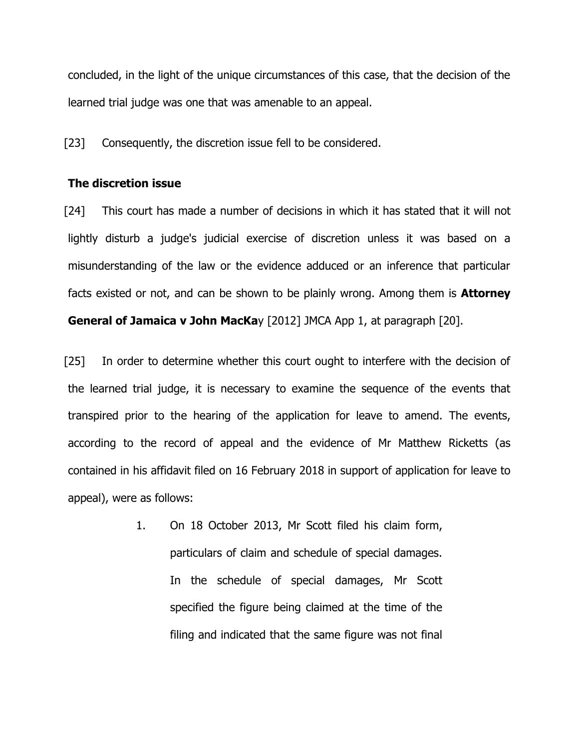concluded, in the light of the unique circumstances of this case, that the decision of the learned trial judge was one that was amenable to an appeal.

[23] Consequently, the discretion issue fell to be considered.

## **The discretion issue**

[24] This court has made a number of decisions in which it has stated that it will not lightly disturb a judge's judicial exercise of discretion unless it was based on a misunderstanding of the law or the evidence adduced or an inference that particular facts existed or not, and can be shown to be plainly wrong. Among them is **Attorney General of Jamaica v John MacKa**y [2012] JMCA App 1, at paragraph [20].

[25] In order to determine whether this court ought to interfere with the decision of the learned trial judge, it is necessary to examine the sequence of the events that transpired prior to the hearing of the application for leave to amend. The events, according to the record of appeal and the evidence of Mr Matthew Ricketts (as contained in his affidavit filed on 16 February 2018 in support of application for leave to appeal), were as follows:

> 1. On 18 October 2013, Mr Scott filed his claim form, particulars of claim and schedule of special damages. In the schedule of special damages, Mr Scott specified the figure being claimed at the time of the filing and indicated that the same figure was not final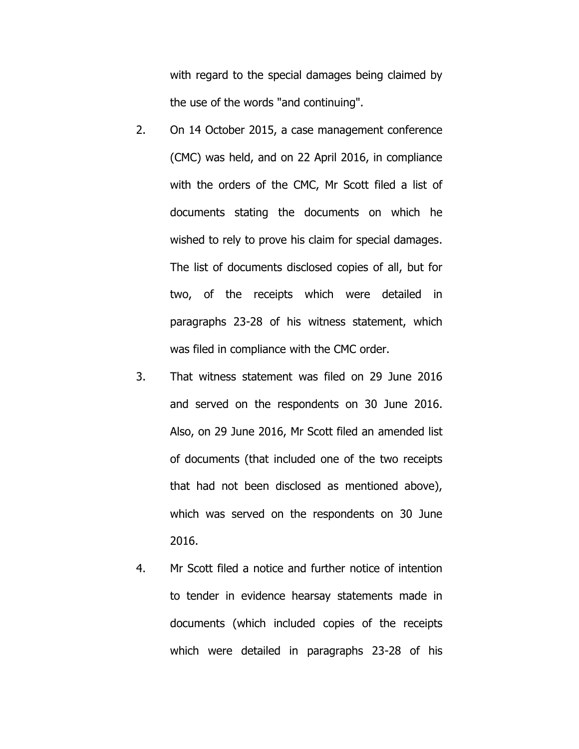with regard to the special damages being claimed by the use of the words "and continuing".

- 2. On 14 October 2015, a case management conference (CMC) was held, and on 22 April 2016, in compliance with the orders of the CMC, Mr Scott filed a list of documents stating the documents on which he wished to rely to prove his claim for special damages. The list of documents disclosed copies of all, but for two, of the receipts which were detailed in paragraphs 23-28 of his witness statement, which was filed in compliance with the CMC order.
- 3. That witness statement was filed on 29 June 2016 and served on the respondents on 30 June 2016. Also, on 29 June 2016, Mr Scott filed an amended list of documents (that included one of the two receipts that had not been disclosed as mentioned above), which was served on the respondents on 30 June 2016.
- 4. Mr Scott filed a notice and further notice of intention to tender in evidence hearsay statements made in documents (which included copies of the receipts which were detailed in paragraphs 23-28 of his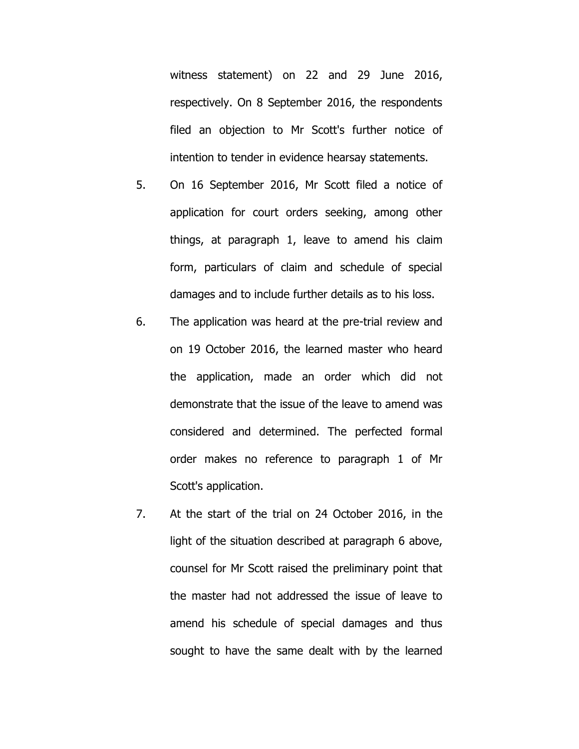witness statement) on 22 and 29 June 2016, respectively. On 8 September 2016, the respondents filed an objection to Mr Scott's further notice of intention to tender in evidence hearsay statements.

- 5. On 16 September 2016, Mr Scott filed a notice of application for court orders seeking, among other things, at paragraph 1, leave to amend his claim form, particulars of claim and schedule of special damages and to include further details as to his loss.
- 6. The application was heard at the pre-trial review and on 19 October 2016, the learned master who heard the application, made an order which did not demonstrate that the issue of the leave to amend was considered and determined. The perfected formal order makes no reference to paragraph 1 of Mr Scott's application.
- 7. At the start of the trial on 24 October 2016, in the light of the situation described at paragraph 6 above, counsel for Mr Scott raised the preliminary point that the master had not addressed the issue of leave to amend his schedule of special damages and thus sought to have the same dealt with by the learned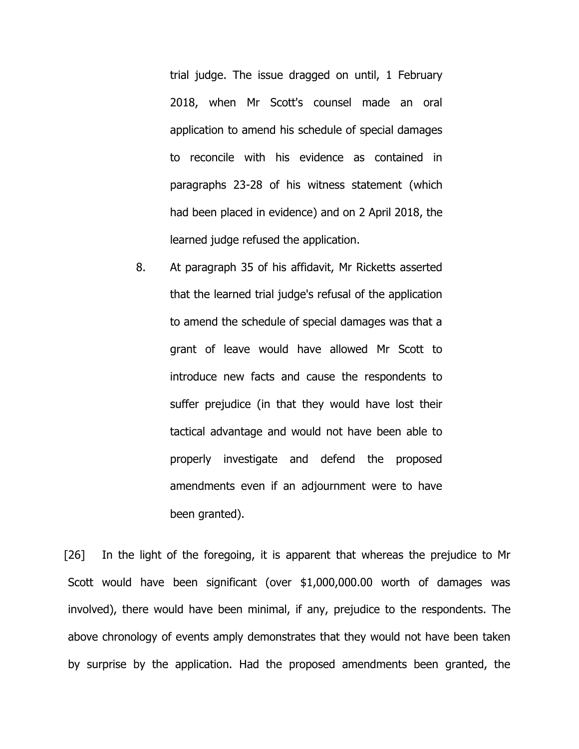trial judge. The issue dragged on until, 1 February 2018, when Mr Scott's counsel made an oral application to amend his schedule of special damages to reconcile with his evidence as contained in paragraphs 23-28 of his witness statement (which had been placed in evidence) and on 2 April 2018, the learned judge refused the application.

8. At paragraph 35 of his affidavit, Mr Ricketts asserted that the learned trial judge's refusal of the application to amend the schedule of special damages was that a grant of leave would have allowed Mr Scott to introduce new facts and cause the respondents to suffer prejudice (in that they would have lost their tactical advantage and would not have been able to properly investigate and defend the proposed amendments even if an adjournment were to have been granted).

[26] In the light of the foregoing, it is apparent that whereas the prejudice to Mr Scott would have been significant (over \$1,000,000.00 worth of damages was involved), there would have been minimal, if any, prejudice to the respondents. The above chronology of events amply demonstrates that they would not have been taken by surprise by the application. Had the proposed amendments been granted, the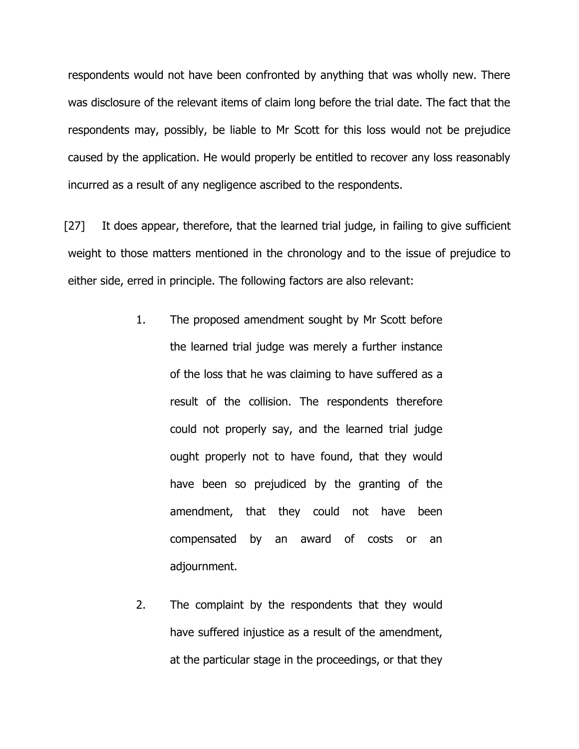respondents would not have been confronted by anything that was wholly new. There was disclosure of the relevant items of claim long before the trial date. The fact that the respondents may, possibly, be liable to Mr Scott for this loss would not be prejudice caused by the application. He would properly be entitled to recover any loss reasonably incurred as a result of any negligence ascribed to the respondents.

[27] It does appear, therefore, that the learned trial judge, in failing to give sufficient weight to those matters mentioned in the chronology and to the issue of prejudice to either side, erred in principle. The following factors are also relevant:

- 1. The proposed amendment sought by Mr Scott before the learned trial judge was merely a further instance of the loss that he was claiming to have suffered as a result of the collision. The respondents therefore could not properly say, and the learned trial judge ought properly not to have found, that they would have been so prejudiced by the granting of the amendment, that they could not have been compensated by an award of costs or an adjournment.
- 2. The complaint by the respondents that they would have suffered injustice as a result of the amendment, at the particular stage in the proceedings, or that they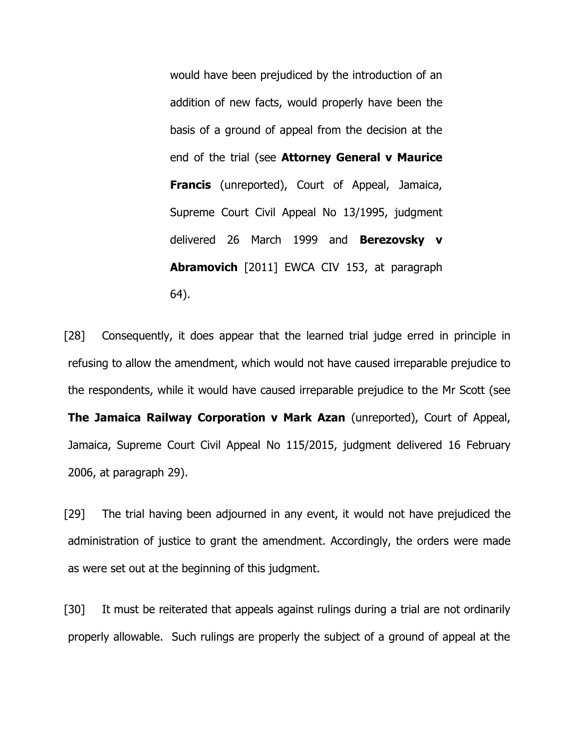would have been prejudiced by the introduction of an addition of new facts, would properly have been the basis of a ground of appeal from the decision at the end of the trial (see **Attorney General v Maurice Francis** (unreported), Court of Appeal, Jamaica, Supreme Court Civil Appeal No 13/1995, judgment delivered 26 March 1999 and **Berezovsky v Abramovich** [2011] EWCA CIV 153, at paragraph 64).

[28] Consequently, it does appear that the learned trial judge erred in principle in refusing to allow the amendment, which would not have caused irreparable prejudice to the respondents, while it would have caused irreparable prejudice to the Mr Scott (see **The Jamaica Railway Corporation v Mark Azan** (unreported), Court of Appeal, Jamaica, Supreme Court Civil Appeal No 115/2015, judgment delivered 16 February 2006, at paragraph 29).

[29] The trial having been adjourned in any event, it would not have prejudiced the administration of justice to grant the amendment. Accordingly, the orders were made as were set out at the beginning of this judgment.

[30] It must be reiterated that appeals against rulings during a trial are not ordinarily properly allowable. Such rulings are properly the subject of a ground of appeal at the